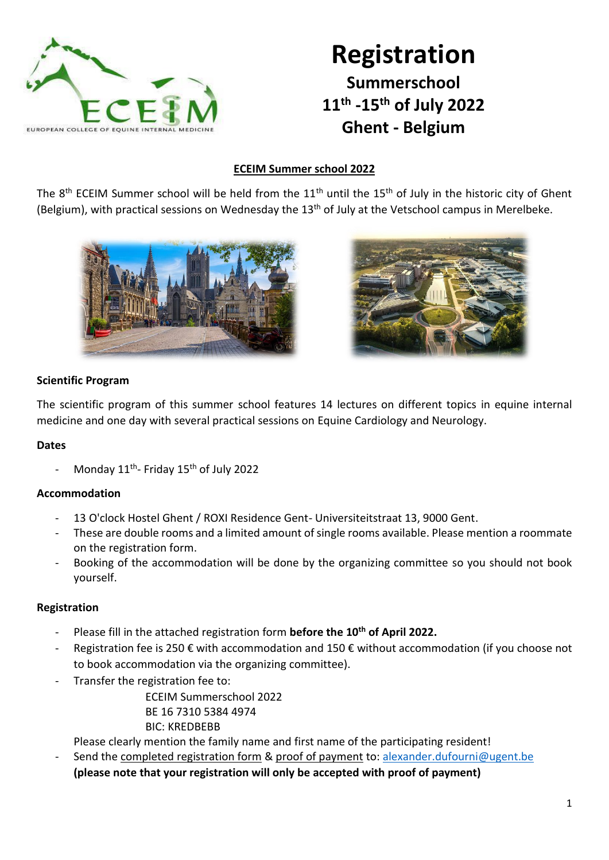

## **Registration Summerschool 11th -15th of July 2022 Ghent - Belgium**

## **ECEIM Summer school 2022**

The 8<sup>th</sup> ECEIM Summer school will be held from the 11<sup>th</sup> until the 15<sup>th</sup> of July in the historic city of Ghent (Belgium), with practical sessions on Wednesday the 13<sup>th</sup> of July at the Vetschool campus in Merelbeke.





## **Scientific Program**

The scientific program of this summer school features 14 lectures on different topics in equine internal medicine and one day with several practical sessions on Equine Cardiology and Neurology.

## **Dates**

- Monday 11<sup>th</sup>- Friday 15<sup>th</sup> of July 2022

## **Accommodation**

- 13 O'clock Hostel Ghent / ROXI Residence Gent- Universiteitstraat 13, 9000 Gent.
- These are double rooms and a limited amount of single rooms available. Please mention a roommate on the registration form.
- Booking of the accommodation will be done by the organizing committee so you should not book yourself.

## **Registration**

- Please fill in the attached registration form **before the 10th of April 2022.**
- Registration fee is 250 € with accommodation and 150 € without accommodation (if you choose not to book accommodation via the organizing committee).
- Transfer the registration fee to:

ECEIM Summerschool 2022 BE 16 7310 5384 4974 BIC: KREDBEBB

Please clearly mention the family name and first name of the participating resident!

Send the completed registration form & proof of payment to: [alexander.dufourni@ugent.be](mailto:alexander.dufourni@ugent.be) **(please note that your registration will only be accepted with proof of payment)**